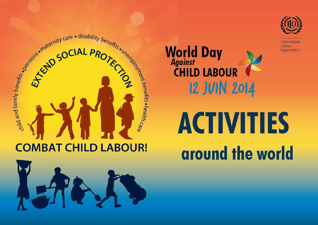

International Labour Organization







**World Day**<br>Against

**CHILD LABOUR** 

**12 JUIN 2014**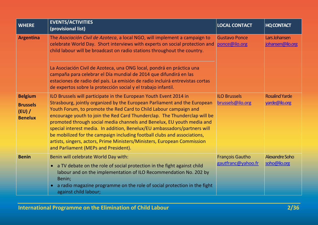| <b>WHERE</b>                                                  | <b>EVENTS/ACTIVITIES</b><br>(provisional list)                                                                                                                                                                                                                                                                                                                                                                                                                                                                                                                                                                                                          | <b>LOCAL CONTACT</b>                         | <b>HQ CONTACT</b>                      |
|---------------------------------------------------------------|---------------------------------------------------------------------------------------------------------------------------------------------------------------------------------------------------------------------------------------------------------------------------------------------------------------------------------------------------------------------------------------------------------------------------------------------------------------------------------------------------------------------------------------------------------------------------------------------------------------------------------------------------------|----------------------------------------------|----------------------------------------|
| <b>Argentina</b>                                              | The Asociación Civil de Azoteca, a local NGO, will implement a campaign to<br>celebrate World Day. Short interviews with experts on social protection and<br>child labour will be broadcast on radio stations throughout the country.                                                                                                                                                                                                                                                                                                                                                                                                                   | <b>Gustavo Ponce</b><br>ponce@ilo.org        | Lars Johansen<br>johansen@ilo.org      |
|                                                               | La Asociación Civil de Azoteca, una ONG local, pondrá en práctica una<br>campaña para celebrar el Día mundial de 2014 que difundirá en las<br>estaciones de radio del país. La emisión de radio incluirá entrevistas cortas<br>de expertos sobre la protección social y el trabajo infantil.                                                                                                                                                                                                                                                                                                                                                            |                                              |                                        |
| <b>Belgium</b><br><b>Brussels</b><br>(EU) /<br><b>Benelux</b> | ILO Brussels will participate in the European Youth Event 2014 in<br>Strasbourg, jointly organized by the European Parliament and the European<br>Youth Forum, to promote the Red Card to Child Labour campaign and<br>encourage youth to join the Red Card Thunderclap. The Thunderclap will be<br>promoted through social media channels and Benelux, EU youth media and<br>special interest media. In addition, Benelux/EU ambassadors/partners will<br>be mobilized for the campaign including football clubs and associations,<br>artists, singers, actors, Prime Ministers/Ministers, European Commission<br>and Parliament (MEPs and President). | <b>ILO Brussels</b><br>brussels@ilo.org      | <b>Rosalind Yarde</b><br>yarde@ilo.org |
| <b>Benin</b>                                                  | Benin will celebrate World Day with:<br>• a TV debate on the role of social protection in the fight against child<br>labour and on the implementation of ILO Recommendation No. 202 by<br>Benin;<br>a radio magazine programme on the role of social protection in the fight<br>$\bullet$<br>against child labour;                                                                                                                                                                                                                                                                                                                                      | <b>François Gautho</b><br>gautfranc@yahoo.fr | Alexandre Soho<br>soho@ilo.org         |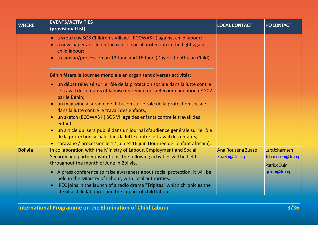| <b>WHERE</b>   | <b>EVENTS/ACTIVITIES</b><br>(provisional list)                                                                                                                                                                                                               | <b>LOCAL CONTACT</b> | <b>HQ CONTACT</b> |
|----------------|--------------------------------------------------------------------------------------------------------------------------------------------------------------------------------------------------------------------------------------------------------------|----------------------|-------------------|
|                | • a sketch by SOS Children's Village (ECOWAS II) against child labour;<br>a newspaper article on the role of social protection in the fight against<br>child labour;<br>a caravan/procession on 12 June and 16 June (Day of the African Child).<br>$\bullet$ |                      |                   |
|                | Bénin fêtera la Journée mondiale en organisant diverses activités:                                                                                                                                                                                           |                      |                   |
|                | un débat télévisé sur le rôle de la protection sociale dans la lutte contre<br>$\bullet$<br>le travail des enfants et la mise en œuvre de la Recommandation nº 202<br>par le Bénin;                                                                          |                      |                   |
|                | un magazine à la radio de diffusion sur le rôle de la protection sociale<br>dans la lutte contre le travail des enfants;                                                                                                                                     |                      |                   |
|                | un sketch (ECOWAS II) SOS Village des enfants contre le travail des<br>$\bullet$<br>enfants;                                                                                                                                                                 |                      |                   |
|                | un article qui sera publié dans un journal d'audience générale sur le rôle<br>$\bullet$<br>de la protection sociale dans la lutte contre le travail des enfants;<br>caravane / procession le 12 juin et 16 juin (Journée de l'enfant africain).              |                      |                   |
| <b>Bolivia</b> | In collaboration with the Ministry of Labour, Employment and Social                                                                                                                                                                                          | Ana Rouzena Zuazo    | Lars Johannsen    |
|                | Security and partner institutions, the following activities will be held                                                                                                                                                                                     | zuazo@ilo.org        | Johannsen@ilo.org |
|                | throughout the month of June in Bolivia.                                                                                                                                                                                                                     |                      | Patrick Quin      |
|                | A press conference to raise awareness about social protection. It will be<br>$\bullet$                                                                                                                                                                       |                      | quinn@ilo.org     |
|                | held in the Ministry of Labour, with local authorities.                                                                                                                                                                                                      |                      |                   |
|                | IPEC joins in the launch of a radio drama "Tripitas" which chronicles the<br>$\bullet$                                                                                                                                                                       |                      |                   |
|                | life of a child labourer and the impact of child labour.                                                                                                                                                                                                     |                      |                   |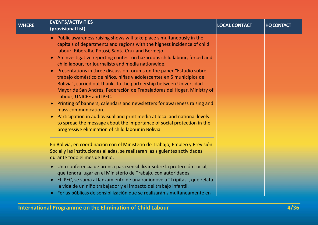| <b>WHERE</b> | <b>EVENTS/ACTIVITIES</b><br>(provisional list)                                                                                                                                                                                                                                                                                                                                                                                                                                                                                                                                                                                                                                                                                                                                                                                                                                                                                                                                                                                            | <b>LOCAL CONTACT</b> | <b>HQ CONTACT</b> |
|--------------|-------------------------------------------------------------------------------------------------------------------------------------------------------------------------------------------------------------------------------------------------------------------------------------------------------------------------------------------------------------------------------------------------------------------------------------------------------------------------------------------------------------------------------------------------------------------------------------------------------------------------------------------------------------------------------------------------------------------------------------------------------------------------------------------------------------------------------------------------------------------------------------------------------------------------------------------------------------------------------------------------------------------------------------------|----------------------|-------------------|
|              | Public awareness raising shows will take place simultaneously in the<br>$\bullet$<br>capitals of departments and regions with the highest incidence of child<br>labour: Riberalta, Potosi, Santa Cruz and Bermejo.<br>An investigative reporting contest on hazardous child labour, forced and<br>$\bullet$<br>child labour, for journalists and media nationwide.<br>Presentations in three discussion forums on the paper "Estudio sobre<br>$\bullet$<br>trabajo doméstico de niños, niñas y adolescentes en 5 municipios de<br>Bolivia", carried out thanks to the partnership between Universidad<br>Mayor de San Andrés, Federación de Trabajadoras del Hogar, Ministry of<br>Labour, UNICEF and IPEC.<br>Printing of banners, calendars and newsletters for awareness raising and<br>$\bullet$<br>mass communication.<br>Participation in audiovisual and print media at local and national levels<br>to spread the message about the importance of social protection in the<br>progressive elimination of child labour in Bolivia. |                      |                   |
|              | En Bolivia, en coordinación con el Ministerio de Trabajo, Empleo y Previsión<br>Social y las instituciones aliadas, se realizaran las siguientes actividades<br>durante todo el mes de Junio.                                                                                                                                                                                                                                                                                                                                                                                                                                                                                                                                                                                                                                                                                                                                                                                                                                             |                      |                   |
|              | • Una conferencia de prensa para sensibilizar sobre la protección social,<br>que tendrá lugar en el Ministerio de Trabajo, con autoridades.<br>El IPEC, se suma al lanzamiento de una radionovela "Tripitas", que relata<br>$\bullet$<br>la vida de un niño trabajador y el impacto del trabajo infantil.<br>Ferias públicas de sensibilización que se realizarán simultáneamente en                                                                                                                                                                                                                                                                                                                                                                                                                                                                                                                                                                                                                                                      |                      |                   |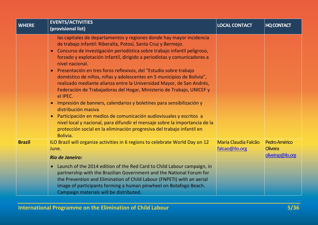| <b>WHERE</b>  | <b>EVENTS/ACTIVITIES</b><br>(provisional list)                                                                                                                                                                                                                                                                                                                                                                                                                                                                                                                                                                                                                                                                                                                                                                                                                                                                                                                                                                | <b>LOCAL CONTACT</b>                          | <b>HQ CONTACT</b>                |
|---------------|---------------------------------------------------------------------------------------------------------------------------------------------------------------------------------------------------------------------------------------------------------------------------------------------------------------------------------------------------------------------------------------------------------------------------------------------------------------------------------------------------------------------------------------------------------------------------------------------------------------------------------------------------------------------------------------------------------------------------------------------------------------------------------------------------------------------------------------------------------------------------------------------------------------------------------------------------------------------------------------------------------------|-----------------------------------------------|----------------------------------|
|               | las capitales de departamentos y regiones donde hay mayor incidencia<br>de trabajo infantil: Riberalta, Potosí, Santa Cruz y Bermejo.<br>Concurso de investigación periodística sobre trabajo infantil peligroso,<br>$\bullet$<br>forzado y explotación infantil, dirigido a periodistas y comunicadores a<br>nivel nacional.<br>Presentación en tres foros reflexivos, del "Estudio sobre trabajo<br>$\bullet$<br>doméstico de niños, niñas y adolescentes en 5 municipios de Bolivia",<br>realizado mediante alianza entre la Universidad Mayor, de San Andrés,<br>Federación de Trabajadoras del Hogar, Ministerio de Trabajo, UNICEF y<br>el IPEC.<br>Impresión de banners, calendarios y boletines para sensibilización y<br>$\bullet$<br>distribución masiva<br>Participación en medios de comunicación audiovisuales y escritos a<br>nivel local y nacional, para difundir el mensaje sobre la importancia de la<br>protección social en la eliminación progresiva del trabajo infantil en<br>Bolivia. |                                               |                                  |
| <b>Brazil</b> | ILO Brazil will organize activities in 6 regions to celebrate World Day on 12<br>June.                                                                                                                                                                                                                                                                                                                                                                                                                                                                                                                                                                                                                                                                                                                                                                                                                                                                                                                        | <b>Maria Claudia Falcão</b><br>falcao@ilo.org | Pedro Américo<br><b>Oliveira</b> |
|               | <b>Rio de Janeiro:</b>                                                                                                                                                                                                                                                                                                                                                                                                                                                                                                                                                                                                                                                                                                                                                                                                                                                                                                                                                                                        |                                               | oliveirap@ilo.org                |
|               | Launch of the 2014 edition of the Red Card to Child Labour campaign, in<br>$\bullet$<br>partnership with the Brazilian Government and the National Forum for<br>the Prevention and Elimination of Child Labour (FNPETI) with an aerial<br>image of participants forming a human pinwheel on Botafogo Beach.<br>Campaign materials will be distributed.                                                                                                                                                                                                                                                                                                                                                                                                                                                                                                                                                                                                                                                        |                                               |                                  |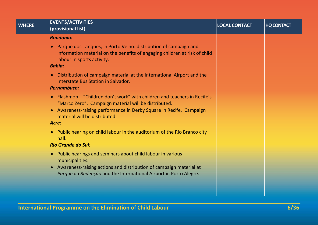| <b>WHERE</b> | <b>EVENTS/ACTIVITIES</b><br>(provisional list)                                                                                                                                                             | <b>LOCAL CONTACT</b> | <b>HQ CONTACT</b> |
|--------------|------------------------------------------------------------------------------------------------------------------------------------------------------------------------------------------------------------|----------------------|-------------------|
|              | <b>Rondonia:</b>                                                                                                                                                                                           |                      |                   |
|              | Parque dos Tanques, in Porto Velho: distribution of campaign and<br>$\bullet$<br>information material on the benefits of engaging children at risk of child<br>labour in sports activity.<br><b>Bahia:</b> |                      |                   |
|              | Distribution of campaign material at the International Airport and the<br>$\bullet$<br>Interstate Bus Station in Salvador.<br><b>Pernambuco:</b>                                                           |                      |                   |
|              | Flashmob – "Children don't work" with children and teachers in Recife's<br>$\bullet$<br>"Marco Zero". Campaign material will be distributed.                                                               |                      |                   |
|              | Awareness-raising performance in Derby Square in Recife. Campaign<br>$\bullet$<br>material will be distributed.<br>Acre:                                                                                   |                      |                   |
|              | Public hearing on child labour in the auditorium of the Rio Branco city<br>$\bullet$<br>hall.<br><b>Rio Grande do Sul:</b>                                                                                 |                      |                   |
|              | Public hearings and seminars about child labour in various<br>$\bullet$<br>municipalities.                                                                                                                 |                      |                   |
|              | Awareness-raising actions and distribution of campaign material at<br>$\bullet$<br>Parque da Redenção and the International Airport in Porto Alegre.                                                       |                      |                   |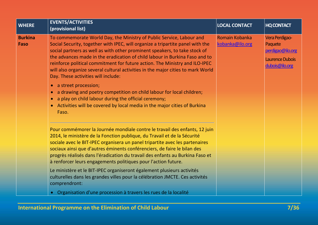| <b>WHERE</b>           | <b>EVENTS/ACTIVITIES</b><br>(provisional list)                                                                                                                                                                                                                                                                                                                                                                                                                                                                                                                                                                                                                                                                  | <b>LOCAL CONTACT</b>              | <b>HQ CONTACT</b>                                                                         |
|------------------------|-----------------------------------------------------------------------------------------------------------------------------------------------------------------------------------------------------------------------------------------------------------------------------------------------------------------------------------------------------------------------------------------------------------------------------------------------------------------------------------------------------------------------------------------------------------------------------------------------------------------------------------------------------------------------------------------------------------------|-----------------------------------|-------------------------------------------------------------------------------------------|
| <b>Burkina</b><br>Faso | To commemorate World Day, the Ministry of Public Service, Labour and<br>Social Security, together with IPEC, will organize a tripartite panel with the<br>social partners as well as with other prominent speakers, to take stock of<br>the advances made in the eradication of child labour in Burkina Faso and to<br>reinforce political commitment for future action. The Ministry and ILO-IPEC<br>will also organize several cultural activities in the major cities to mark World<br>Day. These activities will include:<br>a street procession;<br>$\bullet$<br>a drawing and poetry competition on child labour for local children;<br>a play on child labour during the official ceremony;<br>$\bullet$ | Romain Kobanka<br>kobanka@ilo.org | Vera Perdigao-<br>Paquete<br>perdigao@ilo.org<br><b>Laurence Dubois</b><br>dubois@ilo.org |
|                        | • Activities will be covered by local media in the major cities of Burkina<br>Faso.                                                                                                                                                                                                                                                                                                                                                                                                                                                                                                                                                                                                                             |                                   |                                                                                           |
|                        | Pour commémorer la Journée mondiale contre le travail des enfants, 12 juin<br>2014, le ministère de la Fonction publique, du Travail et de la Sécurité<br>sociale avec le BIT-IPEC organisera un panel tripartite avec les partenaires<br>sociaux ainsi que d'autres éminents conférenciers, de faire le bilan des<br>progrès réalisés dans l'éradication du travail des enfants au Burkina Faso et<br>à renforcer leurs engagements politiques pour l'action future.                                                                                                                                                                                                                                           |                                   |                                                                                           |
|                        | Le ministère et le BIT-IPEC organiseront également plusieurs activités<br>culturelles dans les grandes villes pour la célébration JMCTE. Ces activités<br>comprendront:                                                                                                                                                                                                                                                                                                                                                                                                                                                                                                                                         |                                   |                                                                                           |
|                        | • Organisation d'une procession à travers les rues de la localité                                                                                                                                                                                                                                                                                                                                                                                                                                                                                                                                                                                                                                               |                                   |                                                                                           |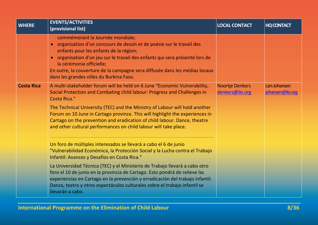| <b>WHERE</b>      | <b>EVENTS/ACTIVITIES</b><br>(provisional list)                                                                                                                                                                                                                                                                                                                                              | <b>LOCAL CONTACT</b>               | <b>HQ CONTACT</b>                 |
|-------------------|---------------------------------------------------------------------------------------------------------------------------------------------------------------------------------------------------------------------------------------------------------------------------------------------------------------------------------------------------------------------------------------------|------------------------------------|-----------------------------------|
|                   | commémorant la Journée mondiale;<br>• organisation d'un concours de dessin et de poésie sur le travail des<br>enfants pour les enfants de la région;<br>· organisation d'un jeu sur le travail des enfants qui sera présenté lors de<br>la cérémonie officielle;<br>En outre, la couverture de la campagne sera diffusée dans les médias locaux<br>dans les grandes villes du Burkina Faso. |                                    |                                   |
| <b>Costa Rica</b> | A multi-stakeholder forum will be held on 6 June "Economic Vulnerability,<br>Social Protection and Combating child labour: Progress and Challenges in<br><b>Costa Rica."</b>                                                                                                                                                                                                                | Noortje Denkers<br>denkers@ilo.org | Lars Johansen<br>johansen@ilo.org |
|                   | The Technical University (TEC) and the Ministry of Labour will hold another<br>Forum on 10 June in Cartago province. This will highlight the experiences in<br>Cartago on the prevention and eradication of child labour. Dance, theatre<br>and other cultural performances on child labour will take place.                                                                                |                                    |                                   |
|                   | Un foro de múltiples interesados se llevará a cabo el 6 de junio<br>"Vulnerabilidad Económica, la Protección Social y la Lucha contra el Trabajo<br>Infantil: Avances y Desafíos en Costa Rica."                                                                                                                                                                                            |                                    |                                   |
|                   | La Universidad Técnica (TEC) y el Ministerio de Trabajo llevará a cabo otro<br>foro el 10 de junio en la provincia de Cartago. Esto pondrá de relieve las<br>experiencias en Cartago en la prevención y erradicación del trabajo infantil.<br>Danza, teatro y otros espectáculos culturales sobre el trabajo infantil se<br>llevarán a cabo.                                                |                                    |                                   |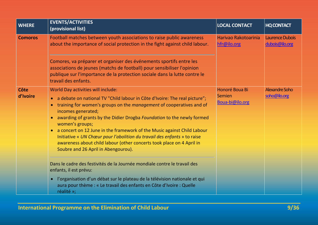| <b>WHERE</b>     | <b>EVENTS/ACTIVITIES</b><br>(provisional list)                                                                                                                                                                                                                                                                                                                                                                                                                                                                                                                                                                                                                                                                                                                                                                                                                                                                                               | <b>LOCAL CONTACT</b>                               | <b>HQ CONTACT</b>                 |
|------------------|----------------------------------------------------------------------------------------------------------------------------------------------------------------------------------------------------------------------------------------------------------------------------------------------------------------------------------------------------------------------------------------------------------------------------------------------------------------------------------------------------------------------------------------------------------------------------------------------------------------------------------------------------------------------------------------------------------------------------------------------------------------------------------------------------------------------------------------------------------------------------------------------------------------------------------------------|----------------------------------------------------|-----------------------------------|
| <b>Comoros</b>   | Football matches between youth associations to raise public awareness<br>about the importance of social protection in the fight against child labour.<br>Comores, va préparer et organiser des événements sportifs entre les<br>associations de jeunes (matchs de football) pour sensibiliser l'opinion<br>publique sur l'importance de la protection sociale dans la lutte contre le<br>travail des enfants.                                                                                                                                                                                                                                                                                                                                                                                                                                                                                                                                | Harivao Rakotoarinia<br>hfr@ilo.org                | Laurence Dubois<br>dubois@ilo.org |
| Côte<br>d'Ivoire | <b>World Day activities will include:</b><br>a debate on national TV "Child labour in Côte d'Ivoire: The real picture";<br>$\bullet$<br>training for women's groups on the <i>management</i> of cooperatives and of<br>$\bullet$<br>incomes generated;<br>awarding of grants by the Didier Drogba Foundation to the newly formed<br>$\bullet$<br>women's groups;<br>a concert on 12 June in the framework of the Music against Child Labour<br>$\bullet$<br>Initiative « UN Chœur pour l'abolition du travail des enfants » to raise<br>awareness about child labour (other concerts took place on 4 April in<br>Soubre and 26 April in Abengourou).<br>Dans le cadre des festivités de la Journée mondiale contre le travail des<br>enfants, il est prévu:<br>l'organisation d'un débat sur le plateau de la télévision nationale et qui<br>$\bullet$<br>aura pour thème : « Le travail des enfants en Côte d'Ivoire : Quelle<br>réalité »; | <b>Honoré Boua Bi</b><br>Semien<br>Boua-bi@ilo.org | Alexandre Soho<br>soho@ilo.org    |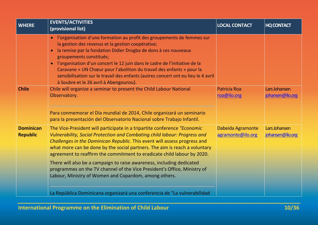| <b>WHERE</b>                        | <b>EVENTS/ACTIVITIES</b><br>(provisional list)                                                                                                                                                                                                                                                                                                                                                                                                                                                                                                                                                            | <b>LOCAL CONTACT</b>                   | <b>HQ CONTACT</b>                 |
|-------------------------------------|-----------------------------------------------------------------------------------------------------------------------------------------------------------------------------------------------------------------------------------------------------------------------------------------------------------------------------------------------------------------------------------------------------------------------------------------------------------------------------------------------------------------------------------------------------------------------------------------------------------|----------------------------------------|-----------------------------------|
|                                     | l'organisation d'une formation au profit des groupements de femmes sur<br>$\bullet$<br>la gestion des revenus et la gestion coopérative;<br>la remise par la fondation Didier Drogba de dons à ces nouveaux<br>$\bullet$<br>groupements constitués;<br>l'organisation d'un concert le 12 juin dans le cadre de l'initiative de la<br>$\bullet$<br>Caravane « UN Chœur pour l'abolition du travail des enfants » pour la<br>sensibilisation sur le travail des enfants (autres concert ont eu lieu le 4 avril<br>à Soubre et le 26 avril à Abengourou).                                                    |                                        |                                   |
| <b>Chile</b>                        | Chile will organize a seminar to present the Child Labour National<br>Observatory.<br>Para conmemorar el Día mundial de 2014, Chile organizará un seminario<br>para la presentación del Observatorio Nacional sobre Trabajo Infantil.                                                                                                                                                                                                                                                                                                                                                                     | <b>Patricia Roa</b><br>roa@ilo.org     | Lars Johansen<br>johansen@ilo.org |
| <b>Dominican</b><br><b>Republic</b> | The Vice-President will participate in a tripartite conference "Economic<br>Vulnerability, Social Protection and Combating child labour: Progress and<br>Challenges in the Dominican Republic. This event will assess progress and<br>what more can be done by the social partners. The aim is reach a voluntary<br>agreement to reaffirm the commitment to eradicate child labour by 2020.<br>There will also be a campaign to raise awareness, including dedicated<br>programmes on the TV channel of the Vice President's Office, Ministry of<br>Labour, Ministry of Women and Copardom, among others. | Dabeida Agramonte<br>agramonte@ilo.org | Lars Johansen<br>johansen@ilo.org |
|                                     | La República Dominicana organizará una conferencia de "La vulnerabilidad                                                                                                                                                                                                                                                                                                                                                                                                                                                                                                                                  |                                        |                                   |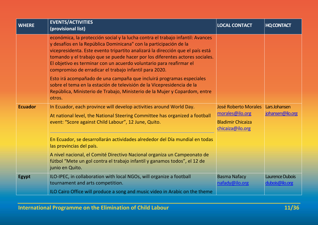| <b>WHERE</b>   | <b>EVENTS/ACTIVITIES</b><br>(provisional list)                                                                                                                                                                                                                                                                                                                                                                                                         | <b>LOCAL CONTACT</b>                                                                           | <b>HQ CONTACT</b>                 |
|----------------|--------------------------------------------------------------------------------------------------------------------------------------------------------------------------------------------------------------------------------------------------------------------------------------------------------------------------------------------------------------------------------------------------------------------------------------------------------|------------------------------------------------------------------------------------------------|-----------------------------------|
|                | económica, la protección social y la lucha contra el trabajo infantil: Avances<br>y desafíos en la República Dominicana" con la participación de la<br>vicepresidenta. Este evento tripartito analizará la dirección que el país está<br>tomando y el trabajo que se puede hacer por los diferentes actores sociales.<br>El objetivo es terminar con un acuerdo voluntario para reafirmar el<br>compromiso de erradicar el trabajo infantil para 2020. |                                                                                                |                                   |
|                | Esto irá acompañado de una campaña que incluirá programas especiales<br>sobre el tema en la estación de televisión de la Vicepresidencia de la<br>República, Ministerio de Trabajo, Ministerio de la Mujer y Copardom, entre<br>otros.                                                                                                                                                                                                                 |                                                                                                |                                   |
| <b>Ecuador</b> | In Ecuador, each province will develop activities around World Day.<br>At national level, the National Steering Committee has organized a football<br>event: "Score against Child Labour", 12 June, Quito.                                                                                                                                                                                                                                             | <b>José Roberto Morales</b><br>morales@ilo.org<br><b>Bladimir Chicaiza</b><br>chicaiza@ilo.org | Lars Johansen<br>johansen@ilo.org |
|                | En Ecuador, se desarrollarán actividades alrededor del Día mundial en todas<br>las provincias del país.                                                                                                                                                                                                                                                                                                                                                |                                                                                                |                                   |
|                | A nivel nacional, el Comité Directivo Nacional organiza un Campeonato de<br>fútbol "Mete un gol contra el trabajo infantil y ganamos todos", el 12 de<br>junio en Quito.                                                                                                                                                                                                                                                                               |                                                                                                |                                   |
| <b>Egypt</b>   | ILO-IPEC, in collaboration with local NGOs, will organize a football<br>tournament and arts competition.                                                                                                                                                                                                                                                                                                                                               | <b>Basma Nafacy</b><br>nafady@ilo.org                                                          | Laurence Dubois<br>dubois@ilo.org |
|                | ILO Cairo Office will produce a song and music video in Arabic on the theme                                                                                                                                                                                                                                                                                                                                                                            |                                                                                                |                                   |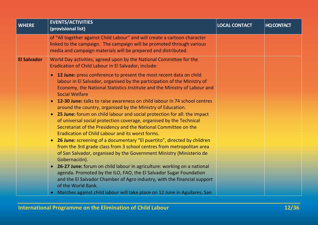| <b>WHERE</b>       | <b>EVENTS/ACTIVITIES</b><br>(provisional list)                                                                                                                                                                                                                                                                                                                                                                                                                                                                                                                                                                                                                                                                                                                                                                                                                                                                                                                                                                                                                                                                                                                                                                                                            | <b>LOCAL CONTACT</b> | <b>HQ CONTACT</b> |
|--------------------|-----------------------------------------------------------------------------------------------------------------------------------------------------------------------------------------------------------------------------------------------------------------------------------------------------------------------------------------------------------------------------------------------------------------------------------------------------------------------------------------------------------------------------------------------------------------------------------------------------------------------------------------------------------------------------------------------------------------------------------------------------------------------------------------------------------------------------------------------------------------------------------------------------------------------------------------------------------------------------------------------------------------------------------------------------------------------------------------------------------------------------------------------------------------------------------------------------------------------------------------------------------|----------------------|-------------------|
|                    | of "All together against Child Labour" and will create a cartoon character<br>linked to the campaign. The campaign will be promoted through various<br>media and campaign materials will be prepared and distributed.                                                                                                                                                                                                                                                                                                                                                                                                                                                                                                                                                                                                                                                                                                                                                                                                                                                                                                                                                                                                                                     |                      |                   |
| <b>El Salvador</b> | World Day activities, agreed upon by the National Committee for the<br>Eradication of Child Labour in El Salvador, include:                                                                                                                                                                                                                                                                                                                                                                                                                                                                                                                                                                                                                                                                                                                                                                                                                                                                                                                                                                                                                                                                                                                               |                      |                   |
|                    | <b>12 June:</b> press conference to present the most recent data on child<br>$\bullet$<br>labour in El Salvador, organised by the participation of the Ministry of<br>Economy, the National Statistics Institute and the Ministry of Labour and<br><b>Social Welfare</b><br>12-30 June: talks to raise awareness on child labour in 74 school centres<br>$\bullet$<br>around the country, organised by the Ministry of Education.<br>25 June: forum on child labour and social protection for all: the impact<br>$\bullet$<br>of universal social protection coverage, organised by the Technical<br>Secretariat of the Presidency and the National Committee on the<br>Eradication of Child Labour and its worst forms.<br><b>26 June:</b> screening of a documentary "El puertito", directed by children<br>$\bullet$<br>from the 3rd grade class from 3 school centres from metropolitan area<br>of San Salvador, organised by the Government Ministry (Ministerio de<br>Gobernación).<br>26-27 June: forum on child labour in agriculture: working on a national<br>$\bullet$<br>agenda. Promoted by the ILO, FAO, the El Salvador Sugar Foundation<br>and the El Salvador Chamber of Agro industry, with the financial support<br>of the World Bank. |                      |                   |
|                    | • Marches against child labour will take place on 12 June in Aguilares, San                                                                                                                                                                                                                                                                                                                                                                                                                                                                                                                                                                                                                                                                                                                                                                                                                                                                                                                                                                                                                                                                                                                                                                               |                      |                   |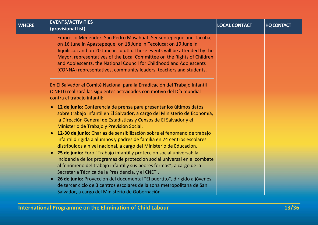| <b>WHERE</b> | <b>EVENTS/ACTIVITIES</b><br>(provisional list)                                                                                                                                                                                                                                                                                                                                                                                               | <b>LOCAL CONTACT</b> | <b>HQ CONTACT</b> |
|--------------|----------------------------------------------------------------------------------------------------------------------------------------------------------------------------------------------------------------------------------------------------------------------------------------------------------------------------------------------------------------------------------------------------------------------------------------------|----------------------|-------------------|
|              | Francisco Menéndez, San Pedro Masahuat, Sensuntepeque and Tacuba;<br>on 16 June in Apastepeque; on 18 June in Tecoluca; on 19 June in<br>Jiquilisco; and on 20 June in Jujutla. These events will be attended by the<br>Mayor, representatives of the Local Committee on the Rights of Children<br>and Adolescents, the National Council for Childhood and Adolescents<br>(CONNA) representatives, community leaders, teachers and students. |                      |                   |
|              | En El Salvador el Comité Nacional para la Erradicación del Trabajo Infantil<br>(CNETI) realizará las siguientes actividades con motivo del Día mundial<br>contra el trabajo infantil:                                                                                                                                                                                                                                                        |                      |                   |
|              | 12 de junio: Conferencia de prensa para presentar los últimos datos<br>$\bullet$<br>sobre trabajo infantil en El Salvador, a cargo del Ministerio de Economía,<br>la Dirección General de Estadísticas y Censos de El Salvador y el<br>Ministerio de Trabajo y Previsión Social.                                                                                                                                                             |                      |                   |
|              | 12-30 de junio: Charlas de sensibilización sobre el fenómeno de trabajo<br>$\bullet$<br>infantil dirigida a alumnos y padres de familia en 74 centros escolares<br>distribuidos a nivel nacional, a cargo del Ministerio de Educación.                                                                                                                                                                                                       |                      |                   |
|              | 25 de junio: Foro "Trabajo infantil y protección social universal: la<br>$\bullet$<br>incidencia de los programas de protección social universal en el combate<br>al fenómeno del trabajo infantil y sus peores formas", a cargo de la<br>Secretaría Técnica de la Presidencia, y el CNETI.                                                                                                                                                  |                      |                   |
|              | 26 de junio: Proyección del documental "El puertito", dirigido a jóvenes<br>$\bullet$<br>de tercer ciclo de 3 centros escolares de la zona metropolitana de San<br>Salvador, a cargo del Ministerio de Gobernación                                                                                                                                                                                                                           |                      |                   |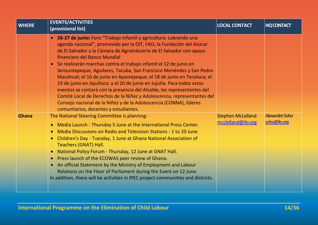| <b>WHERE</b> | <b>EVENTS/ACTIVITIES</b><br>(provisional list)                                                                                                                                                                                                                                                                                                                                                                                                                                                                                                                                                                                                                                                                                                                                                                                                                                                                                                                                                                                                                                                                                                                                                                                                                                                                                                                                                                                                                                                                                                               | <b>LOCAL CONTACT</b>                           | <b>HQ CONTACT</b>              |
|--------------|--------------------------------------------------------------------------------------------------------------------------------------------------------------------------------------------------------------------------------------------------------------------------------------------------------------------------------------------------------------------------------------------------------------------------------------------------------------------------------------------------------------------------------------------------------------------------------------------------------------------------------------------------------------------------------------------------------------------------------------------------------------------------------------------------------------------------------------------------------------------------------------------------------------------------------------------------------------------------------------------------------------------------------------------------------------------------------------------------------------------------------------------------------------------------------------------------------------------------------------------------------------------------------------------------------------------------------------------------------------------------------------------------------------------------------------------------------------------------------------------------------------------------------------------------------------|------------------------------------------------|--------------------------------|
| <b>Ghana</b> | • 26-27 de junio: Foro "Trabajo Infantil y agricultura: Labrando una<br>agenda nacional", promovido por la OIT, FAO, la Fundación del Azúcar<br>de El Salvador y la Cámara de Agroindustria de El Salvador con apoyo<br>financiero del Banco Mundial<br>Se realizarán marchas contra el trabajo infantil el 12 de junio en<br>$\bullet$<br>Sensuntepeque, Aguilares, Tacuba, San Francisco Menéndez y San Pedro<br>Masahuat; el 16 de junio en Apastepeque; el 18 de junio en Tecoluca; el<br>19 de junio en Jiquilisco; y el 20 de junio en Jujutla. Para todos estos<br>eventos se contará con la presencia del Alcalde, los representantes del<br>Comité Local de Derechos de la Niñez y Adolescencia, representantes del<br>Consejo nacional de la Niñez y de la Adolescencia (CONNA), líderes<br>comunitarios, docentes y estudiantes.<br>The National Steering Committee is planning:<br>Media Launch - Thursday 5 June at the International Press Center.<br>$\bullet$<br>Media Discussions on Radio and Television Stations - 1 to 20 June.<br>$\bullet$<br>Children's Day - Tuesday, 1 June at Ghana National Association of<br>$\bullet$<br>Teachers (GNAT) Hall.<br>National Policy Forum - Thursday, 12 June at GNAT Hall.<br>$\bullet$<br>Press launch of the ECOWAS peer review of Ghana.<br>$\bullet$<br>An official Statement by the Ministry of Employment and Labour<br>$\bullet$<br>Relations on the Floor of Parliament during the Event on 12 June.<br>In addition, there will be activities in IPEC project communities and districts. | <b>Stephen McLelland</b><br>mcclelland@ilo.org | Alexandre Soho<br>soho@ilo.org |
|              |                                                                                                                                                                                                                                                                                                                                                                                                                                                                                                                                                                                                                                                                                                                                                                                                                                                                                                                                                                                                                                                                                                                                                                                                                                                                                                                                                                                                                                                                                                                                                              |                                                |                                |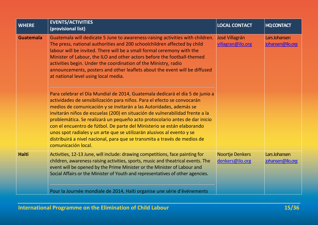| <b>WHERE</b>     | <b>EVENTS/ACTIVITIES</b><br>(provisional list)                                                                                                                                                                                                                                                                                                                                                                                                                                                                                                                                                                                                                                                                                                                                                                                                                                                                                                                                                                                                                                                                                                                   | <b>LOCAL CONTACT</b>                | <b>HQ CONTACT</b>                 |
|------------------|------------------------------------------------------------------------------------------------------------------------------------------------------------------------------------------------------------------------------------------------------------------------------------------------------------------------------------------------------------------------------------------------------------------------------------------------------------------------------------------------------------------------------------------------------------------------------------------------------------------------------------------------------------------------------------------------------------------------------------------------------------------------------------------------------------------------------------------------------------------------------------------------------------------------------------------------------------------------------------------------------------------------------------------------------------------------------------------------------------------------------------------------------------------|-------------------------------------|-----------------------------------|
| <b>Guatemala</b> | Guatemala will dedicate 5 June to awareness-raising activities with children.<br>The press, national authorities and 200 schoolchildren affected by child<br>labour will be invited. There will be a small formal ceremony with the<br>Minister of Labour, the ILO and other actors before the football-themed<br>activities begin. Under the coordination of the Ministry, radio<br>announcements, posters and other leaflets about the event will be diffused<br>at national level using local media.<br>Para celebrar el Día Mundial de 2014, Guatemala dedicará el día 5 de junio a<br>actividades de sensibilización para niños. Para el efecto se convocarán<br>medios de comunicación y se invitarán a las Autoridades, además se<br>invitarán niños de escuelas (200) en situación de vulnerabilidad frente a la<br>problemática. Se realizará un pequeño acto protocolario antes de dar inicio<br>con el encuentro de fútbol. De parte del Ministerio se están elaborando<br>unos spot radiales y un arte que se utilizarán alusivos al evento y se<br>distribuirá a nivel nacional, para que se transmita a través de medios de<br>comunicación local. | José Villagrán<br>villagran@ilo.org | Lars Johansen<br>johansen@ilo.org |
| <b>Haiti</b>     | Activities, 12-13 June, will include: drawing competitions, face painting for<br>children, awareness raising activities, sports, music and theatrical events. The<br>event will be opened by the Prime Minister or the Minister of Labour and<br>Social Affairs or the Minister of Youth and representatives of other agencies.<br>Pour la Journée mondiale de 2014, Haïti organise une série d'événements                                                                                                                                                                                                                                                                                                                                                                                                                                                                                                                                                                                                                                                                                                                                                       | Noortje Denkers<br>denkers@ilo.org  | Lars Johansen<br>johansen@ilo.org |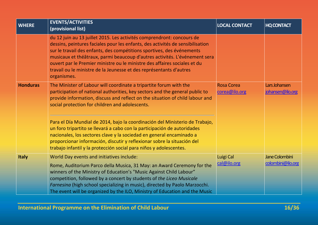| <b>WHERE</b>    | <b>EVENTS/ACTIVITIES</b><br>(provisional list)                                                                                                                                                                                                                                                                                                                                                                                                                                      | <b>LOCAL CONTACT</b>               | <b>HQ CONTACT</b>                   |
|-----------------|-------------------------------------------------------------------------------------------------------------------------------------------------------------------------------------------------------------------------------------------------------------------------------------------------------------------------------------------------------------------------------------------------------------------------------------------------------------------------------------|------------------------------------|-------------------------------------|
|                 | du 12 juin au 13 juillet 2015. Les activités comprendront: concours de<br>dessins, peintures faciales pour les enfants, des activités de sensibilisation<br>sur le travail des enfants, des compétitions sportives, des événements<br>musicaux et théâtraux, parmi beaucoup d'autres activités. L'événement sera<br>ouvert par le Premier ministre ou le ministre des affaires sociales et du<br>travail ou le ministre de la Jeunesse et des représentants d'autres<br>organismes. |                                    |                                     |
| <b>Honduras</b> | The Minister of Labour will coordinate a tripartite forum with the<br>participation of national authorities, key sectors and the general public to<br>provide information, discuss and reflect on the situation of child labour and<br>social protection for children and adolescents.                                                                                                                                                                                              | <b>Rosa Corea</b><br>corea@ilo.org | Lars Johansen<br>johansen@ilo.org   |
|                 | Para el Día Mundial de 2014, bajo la coordinación del Ministerio de Trabajo,<br>un foro tripartito se llevará a cabo con la participación de autoridades<br>nacionales, los sectores clave y la sociedad en general encaminado a<br>proporcionar información, discutir y reflexionar sobre la situación del<br>trabajo infantil y la protección social para niños y adolescentes.                                                                                                   |                                    |                                     |
| <b>Italy</b>    | World Day events and initiatives include:<br>Rome, Auditorium Parco della Musica, 31 May: an Award Ceremony for the<br>winners of the Ministry of Education's "Music Against Child Labour"<br>competition, followed by a concert by students of the Liceo Musicale<br>Farnesina (high school specializing in music), directed by Paolo Marzocchi.<br>The event will be organized by the ILO, Ministry of Education and the Music                                                    | Luigi Cal<br>cal@ilo.org           | Jane Colombini<br>colombini@ilo.org |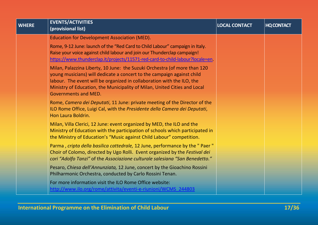| <b>WHERE</b> | <b>EVENTS/ACTIVITIES</b><br>(provisional list)                                                                                                                                                                                                                                                                                     | <b>LOCAL CONTACT</b> | <b>HQ CONTACT</b> |
|--------------|------------------------------------------------------------------------------------------------------------------------------------------------------------------------------------------------------------------------------------------------------------------------------------------------------------------------------------|----------------------|-------------------|
|              | <b>Education for Development Association (MED).</b>                                                                                                                                                                                                                                                                                |                      |                   |
|              | Rome, 9-12 June: launch of the "Red Card to Child Labour" campaign in Italy.<br>Raise your voice against child labour and join our Thunderclap campaign!<br>https://www.thunderclap.it/projects/11571-red-card-to-child-labour?locale=en                                                                                           |                      |                   |
|              | Milan, Palazzina Liberty, 10 June: the Suzuki Orchestra (of more than 120<br>young musicians) will dedicate a concert to the campaign against child<br>labour. The event will be organized in collaboration with the ILO, the<br>Ministry of Education, the Municipality of Milan, United Cities and Local<br>Governments and MED. |                      |                   |
|              | Rome, Camera dei Deputati, 11 June: private meeting of the Director of the<br>ILO Rome Office, Luigi Cal, with the Presidente della Camera dei Deputati,<br>Hon Laura Boldrin.                                                                                                                                                     |                      |                   |
|              | Milan, Villa Clerici, 12 June: event organized by MED, the ILO and the<br>Ministry of Education with the participation of schools which participated in<br>the Ministry of Education's "Music against Child Labour" competition.                                                                                                   |                      |                   |
|              | Parma, cripta della basilica cattedrale, 12 June, performance by the " Paer "<br>Choir of Colomo, directed by Ugo Rolli. Event organized by the Festival dei<br>cori "Adolfo Tanzi" of the Associazione culturale salesiana "San Benedetto."                                                                                       |                      |                   |
|              | Pesaro, Chiesa dell'Annunziata, 12 June, concert by the Gioachino Rossini<br>Philharmonic Orchestra, conducted by Carlo Rossini Tenan.                                                                                                                                                                                             |                      |                   |
|              | For more information visit the ILO Rome Office website:<br>http://www.ilo.org/rome/attivita/eventi-e-riunioni/WCMS 244803                                                                                                                                                                                                          |                      |                   |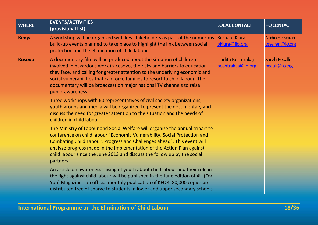| <b>WHERE</b>  | <b>EVENTS/ACTIVITIES</b><br>(provisional list)                                                                                                                                                                                                                                                                                                                                                                | <b>LOCAL CONTACT</b>                     | <b>HQ CONTACT</b>                          |
|---------------|---------------------------------------------------------------------------------------------------------------------------------------------------------------------------------------------------------------------------------------------------------------------------------------------------------------------------------------------------------------------------------------------------------------|------------------------------------------|--------------------------------------------|
| <b>Kenya</b>  | A workshop will be organized with key stakeholders as part of the numerous<br>build-up events planned to take place to highlight the link between social<br>protection and the elimination of child labour.                                                                                                                                                                                                   | <b>Bernard Kiura</b><br>bkiura@ilo.org   | <b>Nadine Osseiran</b><br>osseiran@ilo.org |
| <b>Kosovo</b> | A documentary film will be produced about the situation of children<br>involved in hazardous work in Kosovo, the risks and barriers to education<br>they face, and calling for greater attention to the underlying economic and<br>social vulnerabilities that can force families to resort to child labour. The<br>documentary will be broadcast on major national TV channels to raise<br>public awareness. | Lindita Boshtrakaj<br>boshtrakaj@ilo.org | Snezhi Bedalli<br>bedalli@ilo.org          |
|               | Three workshops with 60 representatives of civil society organizations,<br>youth groups and media will be organized to present the documentary and<br>discuss the need for greater attention to the situation and the needs of<br>children in child labour.                                                                                                                                                   |                                          |                                            |
|               | The Ministry of Labour and Social Welfare will organize the annual tripartite<br>conference on child labour "Economic Vulnerability, Social Protection and<br>Combating Child Labour: Progress and Challenges ahead". This event will<br>analyze progress made in the implementation of the Action Plan against<br>child labour since the June 2013 and discuss the follow up by the social<br>partners.      |                                          |                                            |
|               | An article on awareness raising of youth about child labour and their role in<br>the fight against child labour will be published in the June edition of 4U (For<br>You) Magazine - an official monthly publication of KFOR. 80,000 copies are<br>distributed free of charge to students in lower and upper secondary schools.                                                                                |                                          |                                            |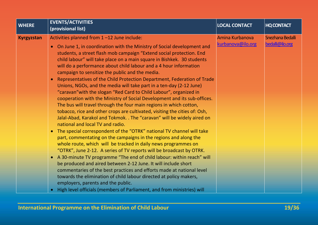| <b>WHERE</b>      | <b>EVENTS/ACTIVITIES</b><br>(provisional list)                                                                                                                                                                                                                                                                                                                                                                                                                                                                                                                                                                                                                                                                                                                                                                                                                                                                                                                                                                                                                                                                                                                                                                                                                                                                                                                                                                                                                                                                                                                                     | <b>LOCAL CONTACT</b>                 | <b>HQ CONTACT</b>                   |
|-------------------|------------------------------------------------------------------------------------------------------------------------------------------------------------------------------------------------------------------------------------------------------------------------------------------------------------------------------------------------------------------------------------------------------------------------------------------------------------------------------------------------------------------------------------------------------------------------------------------------------------------------------------------------------------------------------------------------------------------------------------------------------------------------------------------------------------------------------------------------------------------------------------------------------------------------------------------------------------------------------------------------------------------------------------------------------------------------------------------------------------------------------------------------------------------------------------------------------------------------------------------------------------------------------------------------------------------------------------------------------------------------------------------------------------------------------------------------------------------------------------------------------------------------------------------------------------------------------------|--------------------------------------|-------------------------------------|
| <b>Kyrgyzstan</b> | Activities planned from 1-12 June include:<br>• On June 1, in coordination with the Ministry of Social development and<br>students, a street flash mob campaign "Extend social protection. End<br>child labour" will take place on a main square in Bishkek. 30 students<br>will do a performance about child labour and a 4 hour information<br>campaign to sensitize the public and the media.<br>Representatives of the Child Protection Department, Federation of Trade<br>$\bullet$<br>Unions, NGOs, and the media will take part in a ten-day (2-12 June)<br>"caravan" with the slogan "Red Card to Child Labour", organized in<br>cooperation with the Ministry of Social Development and its sub-offices.<br>The bus will travel through the four main regions in which cotton,<br>tobacco, rice and other crops are cultivated, visiting the cities of: Osh,<br>Jalal-Abad, Karakol and Tokmok. . The "caravan" will be widely aired on<br>national and local TV and radio.<br>The special correspondent of the "OTRK" national TV channel will take<br>part, commentating on the campaigns in the regions and along the<br>whole route, which will be tracked in daily news programmes on<br>"OTRK", June 2-12. A series of TV reports will be broadcast by OTRK.<br>A 30-minute TV programme "The end of child labour: within reach" will<br>$\bullet$<br>be produced and aired between 2-12 June. It will include short<br>commentaries of the best practices and efforts made at national level<br>towards the elimination of child labour directed at policy makers, | Amina Kurbanova<br>kurbanova@ilo.org | Snezhana Bedalli<br>bedalli@ilo.org |
|                   | employers, parents and the public.<br>High level officials (members of Parliament, and from ministries) will<br>$\bullet$                                                                                                                                                                                                                                                                                                                                                                                                                                                                                                                                                                                                                                                                                                                                                                                                                                                                                                                                                                                                                                                                                                                                                                                                                                                                                                                                                                                                                                                          |                                      |                                     |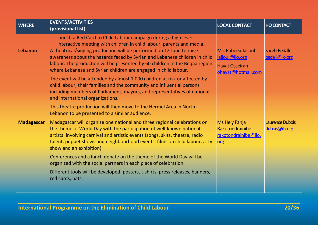| <b>WHERE</b>      | <b>EVENTS/ACTIVITIES</b><br>(provisional list)                                                                                                                                                                                                                                                                                                                                                                                                                                                                                                                                                                                                      | <b>LOCAL CONTACT</b>                                                                 | <b>HQ CONTACT</b>                        |
|-------------------|-----------------------------------------------------------------------------------------------------------------------------------------------------------------------------------------------------------------------------------------------------------------------------------------------------------------------------------------------------------------------------------------------------------------------------------------------------------------------------------------------------------------------------------------------------------------------------------------------------------------------------------------------------|--------------------------------------------------------------------------------------|------------------------------------------|
|                   | launch a Red Card to Child Labour campaign during a high level<br>interactive meeting with children in child labour, parents and media.                                                                                                                                                                                                                                                                                                                                                                                                                                                                                                             |                                                                                      |                                          |
| Lebanon           | A theatrical/singing production will be performed on 12 June to raise<br>awareness about the hazards faced by Syrian and Lebanese children in child<br>labour. The production will be presented by 60 children in the Beqaa region<br>where Lebanese and Syrian children are engaged in child labour.<br>The event will be attended by almost 1,000 children at risk or affected by<br>child labour, their families and the community and influential persons<br>including members of Parliament, mayors, and representatives of national<br>and international organizations.<br>This theatre production will then move to the Hermel Area in North | Ms. Rabeea Jalloul<br>jalloul@ilo.org<br><b>Hayat Osseiran</b><br>ohayat@hotmail.com | Snezhi Bedalli<br>bedalli@ilo.org        |
| <b>Madagascar</b> | Lebanon to be presented to a similar audience.<br>Madagascar will organize one national and three regional celebrations on<br>the theme of World Day with the participation of well-known national<br>artists: involving carnival and artistic events (songs, skits, theatre, radio                                                                                                                                                                                                                                                                                                                                                                 | <b>Ms Hely Fanja</b><br>Rakotondrainibe<br>rakotondrainibe@ilo.                      | <b>Laurence Dubois</b><br>dubois@ilo.org |
|                   | talent, puppet shows and neighbourhood events, films on child labour, a TV<br>show and an exhibition).<br>Conferences and a lunch debate on the theme of the World Day will be<br>organized with the social partners in each place of celebration.<br>Different tools will be developed: posters, t-shirts, press releases, banners,<br>red cards, hats.                                                                                                                                                                                                                                                                                            | org                                                                                  |                                          |
|                   |                                                                                                                                                                                                                                                                                                                                                                                                                                                                                                                                                                                                                                                     |                                                                                      |                                          |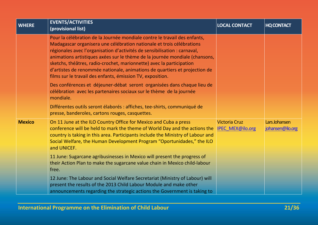| <b>WHERE</b>  | <b>EVENTS/ACTIVITIES</b><br>(provisional list)                                                                                                                                                                                                                                                                                                                                                                                                                                                                                     | <b>LOCAL CONTACT</b>                            | <b>HQ CONTACT</b>                 |
|---------------|------------------------------------------------------------------------------------------------------------------------------------------------------------------------------------------------------------------------------------------------------------------------------------------------------------------------------------------------------------------------------------------------------------------------------------------------------------------------------------------------------------------------------------|-------------------------------------------------|-----------------------------------|
|               | Pour la célébration de la Journée mondiale contre le travail des enfants,<br>Madagascar organisera une célébration nationale et trois célébrations<br>régionales avec l'organisation d'activités de sensibilisation : carnaval,<br>animations artistiques axées sur le thème de la journée mondiale (chansons,<br>sketchs, théâtres, radio-crochet, marionnette) avec la participation<br>d'artistes de renommée nationale, animations de quartiers et projection de<br>films sur le travail des enfants, émission TV, exposition. |                                                 |                                   |
|               | Des conférences et déjeuner-débat seront organisées dans chaque lieu de<br>célébration avec les partenaires sociaux sur le thème de la journée<br>mondiale.                                                                                                                                                                                                                                                                                                                                                                        |                                                 |                                   |
|               | Différentes outils seront élaborés : affiches, tee-shirts, communiqué de<br>presse, banderoles, cartons rouges, casquettes.                                                                                                                                                                                                                                                                                                                                                                                                        |                                                 |                                   |
| <b>Mexico</b> | On 11 June at the ILO Country Office for Mexico and Cuba a press<br>conference will be held to mark the theme of World Day and the actions the<br>country is taking in this area. Participants include the Ministry of Labour and<br>Social Welfare, the Human Development Program "Oportunidades," the ILO<br>and UNICEF.                                                                                                                                                                                                         | <b>Victoria Cruz</b><br><b>IPEC MEX@ilo.org</b> | Lars Johansen<br>johansen@ilo.org |
|               | 11 June: Sugarcane agribusinesses in Mexico will present the progress of<br>their Action Plan to make the sugarcane value chain in Mexico child-labour<br>free.                                                                                                                                                                                                                                                                                                                                                                    |                                                 |                                   |
|               | 12 June: The Labour and Social Welfare Secretariat (Ministry of Labour) will<br>present the results of the 2013 Child Labour Module and make other<br>announcements regarding the strategic actions the Government is taking to                                                                                                                                                                                                                                                                                                    |                                                 |                                   |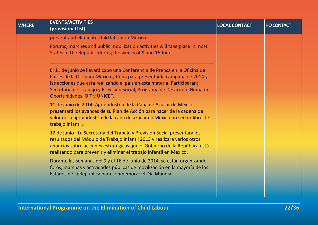| <b>WHERE</b> | <b>EVENTS/ACTIVITIES</b><br>(provisional list)                                                                                                                                                                                                                                                                                              | <b>LOCAL CONTACT</b> | <b>HQ CONTACT</b> |
|--------------|---------------------------------------------------------------------------------------------------------------------------------------------------------------------------------------------------------------------------------------------------------------------------------------------------------------------------------------------|----------------------|-------------------|
|              | prevent and eliminate child labour in Mexico.<br>Forums, marches and public mobilization activities will take place in most                                                                                                                                                                                                                 |                      |                   |
|              | States of the Republic during the weeks of 9 and 16 June.                                                                                                                                                                                                                                                                                   |                      |                   |
|              | El 11 de junio se llevará cabo una Conferencia de Prensa en la Oficina de<br>Países de la OIT para México y Cuba para presentar la campaña de 2014 y<br>las acciones que está realizando el país en esta materia. Participarán:<br>Secretaría del Trabajo y Previsión Social, Programa de Desarrollo Humano<br>Oportunidades, OIT y UNICEF. |                      |                   |
|              | 11 de junio de 2014: Agroindustria de la Caña de Azúcar de México<br>presentará los avances de su Plan de Acción para hacer de la cadena de<br>valor de la agroindustria de la caña de azúcar en México un sector libre de<br>trabajo infantil.                                                                                             |                      |                   |
|              | 12 de junio : La Secretaría del Trabajo y Previsión Social presentará los<br>resultados del Módulo de Trabajo Infantil 2013 y realizará varios otros<br>anuncios sobre acciones estratégicas que el Gobierno de la República está<br>realizando para prevenir y eliminar el trabajo infantil en México.                                     |                      |                   |
|              | Durante las semanas del 9 y el 16 de junio de 2014, se están organizando<br>foros, marchas y actividades públicas de movilización en la mayoría de los<br>Estados de la República para conmemorar el Día Mundial.                                                                                                                           |                      |                   |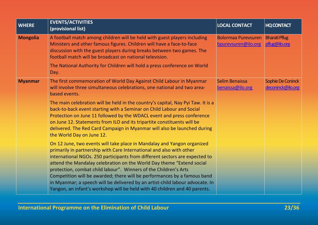| <b>WHERE</b>    | <b>EVENTS/ACTIVITIES</b><br>(provisional list)                                                                                                                                                                                                                                                                                                                                                                                                                                                                                                                                                                         | <b>LOCAL CONTACT</b>                              | <b>HQ CONTACT</b>                      |
|-----------------|------------------------------------------------------------------------------------------------------------------------------------------------------------------------------------------------------------------------------------------------------------------------------------------------------------------------------------------------------------------------------------------------------------------------------------------------------------------------------------------------------------------------------------------------------------------------------------------------------------------------|---------------------------------------------------|----------------------------------------|
| <b>Mongolia</b> | A football match among children will be held with guest players including<br>Ministers and other famous figures. Children will have a face-to-face<br>discussion with the guest players during breaks between two games. The<br>football match will be broadcast on national television.                                                                                                                                                                                                                                                                                                                               | <b>Bolormaa Purevsuren</b><br>bpurevsuren@ilo.org | <b>Bharati Pflug</b><br>pflug@ilo.org  |
|                 | The National Authority for Children will hold a press conference on World<br>Day.                                                                                                                                                                                                                                                                                                                                                                                                                                                                                                                                      |                                                   |                                        |
| <b>Myanmar</b>  | The first commemoration of World Day Against Child Labour in Myanmar<br>will involve three simultaneous celebrations, one national and two area-<br>based events.                                                                                                                                                                                                                                                                                                                                                                                                                                                      | Selim Benaissa<br>benaissa@ilo.org                | Sophie De Coninck<br>deconinck@ilo.org |
|                 | The main celebration will be held in the country's capital, Nay Pyi Taw. It is a<br>back-to-back event starting with a Seminar on Child Labour and Social<br>Protection on June 11 followed by the WDACL event and press conference<br>on June 12. Statements from ILO and its tripartite constituents will be<br>delivered. The Red Card Campaign in Myanmar will also be launched during<br>the World Day on June 12.                                                                                                                                                                                                |                                                   |                                        |
|                 | On 12 June, two events will take place in Mandalay and Yangon organized<br>primarily in partnership with Care International and also with other<br>international NGOs. 250 participants from different sectors are expected to<br>attend the Mandalay celebration on the World Day theme "Extend social<br>protection, combat child labour". Winners of the Children's Arts<br>Competition will be awarded; there will be performances by a famous band<br>in Myanmar; a speech will be delivered by an artist-child labour advocate. In<br>Yangon, an infant's workshop will be held with 40 children and 40 parents. |                                                   |                                        |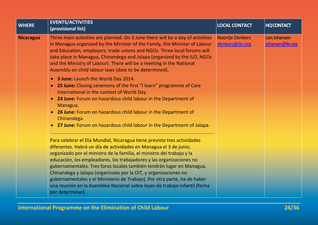| <b>WHERE</b>     | <b>EVENTS/ACTIVITIES</b><br>(provisional list)                                                                                                                                                                                                                                                                                                                                                                                                                                                                                                                                                                                                                                             | <b>LOCAL CONTACT</b>               | <b>HQ CONTACT</b>                 |
|------------------|--------------------------------------------------------------------------------------------------------------------------------------------------------------------------------------------------------------------------------------------------------------------------------------------------------------------------------------------------------------------------------------------------------------------------------------------------------------------------------------------------------------------------------------------------------------------------------------------------------------------------------------------------------------------------------------------|------------------------------------|-----------------------------------|
| <b>Nicaragua</b> | Three main activities are planned. On 3 June there will be a day of activities<br>in Managua organized by the Minister of the Family, the Minister of Labour<br>and Education, employers, trade unions and NGOs. Three local forums will<br>take place in Managua, Chinandega and Jalapa (organized by the ILO, NGOs<br>and the Ministry of Labour). There will be a meeting in the National<br>Assembly on child labour laws (date to be determined).                                                                                                                                                                                                                                     | Noortje Denkers<br>denkers@ilo.org | Lars Johansen<br>johansen@ilo.org |
|                  | 3 June: Launch the World Day 2014.<br>$\bullet$<br><b>25 June:</b> Closing ceremony of the first "I learn" programme of Care<br>$\bullet$<br>International in the context of World Day.<br>24 June: Forum on hazardous child labour in the Department of<br>$\bullet$<br>Managua.<br><b>26 June:</b> Forum on hazardous child labour in the Department of<br>$\bullet$<br>Chinandega.<br>• 27 June: Forum on hazardous child labour in the Department of Jalapa.<br>Para celebrar el Día Mundial, Nicaragua tiene previsto tres actividades<br>diferentes. Habrá un día de actividades en Managua el 3 de junio,<br>organizado por el ministro de la familia, el ministro del trabajo y la |                                    |                                   |
|                  | educación, los empleadores, los trabajadores y las organizaciones no<br>gubernamentales. Tres foros locales también tendrán lugar en Managua,<br>Chinandega y Jalapa (organizado por la OIT, y organizaciones no<br>gubernamentales y el Ministerio de Trabajo). Por otra parte, ha de haber<br>una reunión en la Asamblea Nacional sobre leyes de trabajo infantil (fecha<br>por determinar).                                                                                                                                                                                                                                                                                             |                                    |                                   |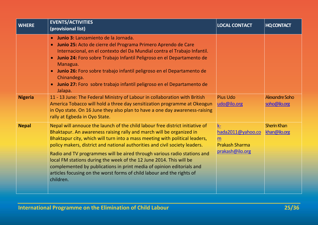| <b>WHERE</b>   | <b>EVENTS/ACTIVITIES</b><br>(provisional list)                                                                                                                                                                                                                                                                                                                                                                                                                                                                                                                                                                                         | <b>LOCAL CONTACT</b>                                                       | <b>HQ CONTACT</b>                     |
|----------------|----------------------------------------------------------------------------------------------------------------------------------------------------------------------------------------------------------------------------------------------------------------------------------------------------------------------------------------------------------------------------------------------------------------------------------------------------------------------------------------------------------------------------------------------------------------------------------------------------------------------------------------|----------------------------------------------------------------------------|---------------------------------------|
|                | Junio 3: Lanzamiento de la Jornada.<br>$\bullet$<br>Junio 25: Acto de cierre del Programa Primero Aprendo de Care<br>$\bullet$<br>Internacional, en el contexto del Da Mundial contra el Trabajo Infantil.<br>Junio 24: Foro sobre Trabajo Infantil Peligroso en el Departamento de<br>$\bullet$<br>Managua.<br>Junio 26: Foro sobre trabajo infantil peligroso en el Departamento de<br>$\bullet$<br>Chinandega.<br>Junio 27: Foro sobre trabajo infantil peligroso en el Departamento de<br>$\bullet$<br>Jalapa.                                                                                                                     |                                                                            |                                       |
| <b>Nigeria</b> | 11 - 13 June: The Federal Ministry of Labour in collaboration with British<br>America Tobacco will hold a three day sensitization programme at Okeogun<br>in Oyo state. On 16 June they also plan to have a one day awareness-raising<br>rally at Egbeda in Oyo State.                                                                                                                                                                                                                                                                                                                                                                 | <b>Pius Udo</b><br>udo@ilo.org                                             | <b>Alexandre Soho</b><br>soho@ilo.org |
| <b>Nepal</b>   | Nepal will annouce the launch of the child labour free district initiative of<br>Bhaktapur. An awareness raising rally and march will be organized in<br>Bhaktapur city, which will turn into a mass meeting with political leaders,<br>policy makers, district and national authorities and civil society leaders.<br>Radio and TV programmes will be aired through various radio stations and<br>local FM stations during the week of the 12 June 2014. This will be<br>complemented by publications in print media of opinion editorials and<br>articles focusing on the worst forms of child labour and the rights of<br>children. | <u>k-</u><br>hada2011@yahoo.co<br><b>Prakash Sharma</b><br>prakash@ilo.org | <b>Sherin Khan</b><br>khan@ilo.org    |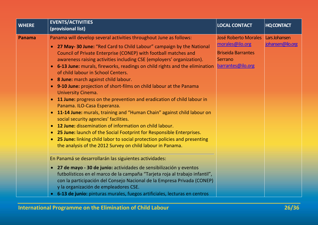| <b>WHERE</b> | <b>EVENTS/ACTIVITIES</b>                                                                                                                                                                                                                                                                                                                                                                                                                                                                                                                                                                                                                                                                                                                                                                                                                                                                                                                                                                                                                      | <b>LOCAL CONTACT</b>                                                                                        | <b>HQ CONTACT</b>                 |
|--------------|-----------------------------------------------------------------------------------------------------------------------------------------------------------------------------------------------------------------------------------------------------------------------------------------------------------------------------------------------------------------------------------------------------------------------------------------------------------------------------------------------------------------------------------------------------------------------------------------------------------------------------------------------------------------------------------------------------------------------------------------------------------------------------------------------------------------------------------------------------------------------------------------------------------------------------------------------------------------------------------------------------------------------------------------------|-------------------------------------------------------------------------------------------------------------|-----------------------------------|
|              | (provisional list)                                                                                                                                                                                                                                                                                                                                                                                                                                                                                                                                                                                                                                                                                                                                                                                                                                                                                                                                                                                                                            |                                                                                                             |                                   |
| Panama       | Panama will develop several activities throughout June as follows:<br>• 27 May-30 June: "Red Card to Child Labour" campaign by the National<br>Council of Private Enterprise (CONEP) with football matches and<br>awareness raising activities including CSE (employers' organization).<br>• 6-13 June: murals, fireworks, readings on child rights and the elimination<br>of child labour in School Centers.<br>• 8 June: march against child labour.<br>• 9-10 June: projection of short-films on child labour at the Panama<br><b>University Cinema.</b><br>11 June: progress on the prevention and eradication of child labour in<br>$\bullet$<br>Panama. ILO-Casa Esperanza.<br>• 11-14 June: murals, training and "Human Chain" against child labour on<br>social security agencies' facilities.<br><b>12 June:</b> dissemination of information on child labour.<br>$\bullet$<br>• 25 June: launch of the Social Footprint for Responsible Enterprises.<br>• 25 June: linking child labor to social protection policies and presenting | <b>José Roberto Morales</b><br>morales@ilo.org<br><b>Briseida Barrantes</b><br>Serrano<br>barrantes@ilo.org | Lars Johansen<br>johansen@ilo.org |
|              | the analysis of the 2012 Survey on child labour in Panama.<br>En Panamá se desarrollarán las siguientes actividades:<br>• 27 de mayo - 30 de junio: actividades de sensibilización y eventos<br>futbolísticos en el marco de la campaña "Tarjeta roja al trabajo infantil",<br>con la participación del Consejo Nacional de la Empresa Privada (CONEP)<br>y la organización de empleadores CSE.<br>• 6-13 de junio: pinturas murales, fuegos artificiales, lecturas en centros                                                                                                                                                                                                                                                                                                                                                                                                                                                                                                                                                                |                                                                                                             |                                   |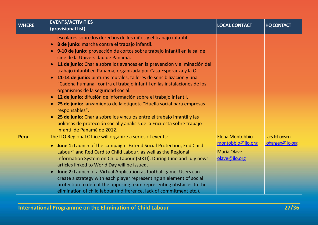| <b>WHERE</b> | <b>EVENTS/ACTIVITIES</b><br>(provisional list)                                                                                                                                                                                                                                                                                                                                                                                                                                                                                                                                                                                                                                                                                                                                                                                                                                                                                                                                                    | <b>LOCAL CONTACT</b>                                                        | <b>HQ CONTACT</b>                 |
|--------------|---------------------------------------------------------------------------------------------------------------------------------------------------------------------------------------------------------------------------------------------------------------------------------------------------------------------------------------------------------------------------------------------------------------------------------------------------------------------------------------------------------------------------------------------------------------------------------------------------------------------------------------------------------------------------------------------------------------------------------------------------------------------------------------------------------------------------------------------------------------------------------------------------------------------------------------------------------------------------------------------------|-----------------------------------------------------------------------------|-----------------------------------|
|              | escolares sobre los derechos de los niños y el trabajo infantil.<br>8 de junio: marcha contra el trabajo infantil.<br>$\bullet$<br>· 9-10 de junio: proyección de cortos sobre trabajo infantil en la sal de<br>cine de la Universidad de Panamá.<br>11 de junio: Charla sobre los avances en la prevención y eliminación del<br>$\bullet$<br>trabajo infantil en Panamá, organizada por Casa Esperanza y la OIT.<br>• 11-14 de junio: pinturas murales, talleres de sensibilización y una<br>"Cadena humana" contra el trabajo infantil en las instalaciones de los<br>organismos de la seguridad social.<br>12 de junio: difusión de información sobre el trabajo infantil.<br>$\bullet$<br>25 de junio: lanzamiento de la etiqueta "Huella social para empresas<br>$\bullet$<br>responsables".<br>25 de junio: Charla sobre los vínculos entre el trabajo infantil y las<br>$\bullet$<br>políticas de protección social y análisis de la Encuesta sobre trabajo<br>infantil de Panamá de 2012. |                                                                             |                                   |
| <b>Peru</b>  | The ILO Regional Office will organize a series of events:<br>• June 1: Launch of the campaign "Extend Social Protection, End Child<br>Labour" and Red Card to Child Labour, as well as the Regional<br>Information System on Child Labour (SIRTI). During June and July news<br>articles linked to World Day will be issued.<br>June 2: Launch of a Virtual Application as football game. Users can<br>$\bullet$<br>create a strategy with each player representing an element of social<br>protection to defeat the opposing team representing obstacles to the<br>elimination of child labour (indifference, lack of commitment etc.).                                                                                                                                                                                                                                                                                                                                                          | Elena Montobbio<br>montobbio@ilo.org<br><b>María Olave</b><br>olave@ilo.org | Lars Johansen<br>johansen@ilo.org |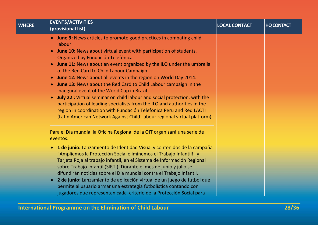| <b>WHERE</b> | <b>EVENTS/ACTIVITIES</b><br>(provisional list)                                                                              | <b>LOCAL CONTACT</b> | <b>HQ CONTACT</b> |
|--------------|-----------------------------------------------------------------------------------------------------------------------------|----------------------|-------------------|
|              | <b>June 9:</b> News articles to promote good practices in combating child<br>$\bullet$                                      |                      |                   |
|              | labour.                                                                                                                     |                      |                   |
|              | <b>June 10:</b> News about virtual event with participation of students.<br>$\bullet$<br>Organized by Fundación Telefónica. |                      |                   |
|              | $\bullet$                                                                                                                   |                      |                   |
|              | June 11: News about an event organized by the ILO under the umbrella<br>of the Red Card to Child Labour Campaign.           |                      |                   |
|              | June 12: News about all events in the region on World Day 2014.<br>$\bullet$                                                |                      |                   |
|              | June 13: News about the Red Card to Child Labour campaign in the<br>$\bullet$                                               |                      |                   |
|              | inaugural event of the World Cup in Brazil.                                                                                 |                      |                   |
|              | July 22 : Virtual seminar on child labour and social protection, with the<br>$\bullet$                                      |                      |                   |
|              | participation of leading specialists from the ILO and authorities in the                                                    |                      |                   |
|              | region in coordination with Fundación Telefónica Peru and Red LACTI                                                         |                      |                   |
|              | (Latin American Network Against Child Labour regional virtual platform).                                                    |                      |                   |
|              | Para el Día mundial la Oficina Regional de la OIT organizará una serie de                                                   |                      |                   |
|              | eventos:                                                                                                                    |                      |                   |
|              | • 1 de junio: Lanzamiento de Identidad Visual y contenidos de la campaña                                                    |                      |                   |
|              | "Ampliemos la Protección Social eliminemos el Trabajo Infantil!" y                                                          |                      |                   |
|              | Tarjeta Roja al trabajo infantil, en el Sistema de Información Regional                                                     |                      |                   |
|              | sobre Trabajo Infantil (SIRTI). Durante el mes de junio y julio se                                                          |                      |                   |
|              | difundirán noticias sobre el Día mundial contra el Trabajo Infantil.                                                        |                      |                   |
|              | 2 de junio: Lanzamiento de aplicación virtual de un juego de futbol que<br>$\bullet$                                        |                      |                   |
|              | permite al usuario armar una estrategia futbolística contando con                                                           |                      |                   |
|              | jugadores que representan cada criterio de la Protección Social para                                                        |                      |                   |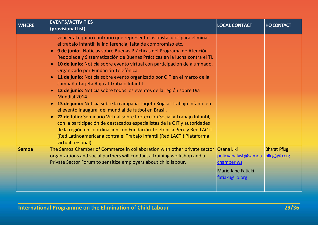| <b>WHERE</b> | <b>EVENTS/ACTIVITIES</b><br>(provisional list)                                                                                                                                                                                                                                                                                                                                                                                                                                                                                                                                                                                                                                                                                                                                                                                                                                                                                                                                                                                                                                                                                                                                          | <b>LOCAL CONTACT</b>                                                                                   | <b>HQ CONTACT</b>                     |
|--------------|-----------------------------------------------------------------------------------------------------------------------------------------------------------------------------------------------------------------------------------------------------------------------------------------------------------------------------------------------------------------------------------------------------------------------------------------------------------------------------------------------------------------------------------------------------------------------------------------------------------------------------------------------------------------------------------------------------------------------------------------------------------------------------------------------------------------------------------------------------------------------------------------------------------------------------------------------------------------------------------------------------------------------------------------------------------------------------------------------------------------------------------------------------------------------------------------|--------------------------------------------------------------------------------------------------------|---------------------------------------|
|              | vencer al equipo contrario que representa los obstáculos para eliminar<br>el trabajo infantil: la indiferencia, falta de compromiso etc.<br>9 de junio: Noticias sobre Buenas Prácticas del Programa de Atención<br>$\bullet$<br>Redoblada y Sistematización de Buenas Prácticas en la lucha contra el TI.<br>10 de junio: Noticia sobre evento virtual con participación de alumnado.<br>$\bullet$<br>Organizado por Fundación Telefónica.<br>11 de junio: Noticia sobre evento organizado por OIT en el marco de la<br>$\bullet$<br>campaña Tarjeta Roja al Trabajo Infantil.<br>12 de junio: Noticia sobre todos los eventos de la región sobre Día<br>$\bullet$<br>Mundial 2014.<br>13 de junio: Noticia sobre la campaña Tarjeta Roja al Trabajo Infantil en<br>$\bullet$<br>el evento inaugural del mundial de futbol en Brasil.<br>22 de Julio: Seminario Virtual sobre Protección Social y Trabajo Infantil,<br>$\bullet$<br>con la participación de destacados especialistas de la OIT y autoridades<br>de la región en coordinación con Fundación Telefónica Perú y Red LACTI<br>(Red Latinoamericana contra el Trabajo Infantil (Red LACTI) Plataforma<br>virtual regional). |                                                                                                        |                                       |
| <b>Samoa</b> | The Samoa Chamber of Commerce in collaboration with other private sector<br>organizations and social partners will conduct a training workshop and a<br>Private Sector Forum to sensitize employers about child labour.                                                                                                                                                                                                                                                                                                                                                                                                                                                                                                                                                                                                                                                                                                                                                                                                                                                                                                                                                                 | <b>Osana Liki</b><br>policyanalyst@samoa<br>chamber.ws<br><b>Marie Jane Fatiaki</b><br>fatiaki@ilo.org | <b>Bharati Pflug</b><br>pflug@ilo.org |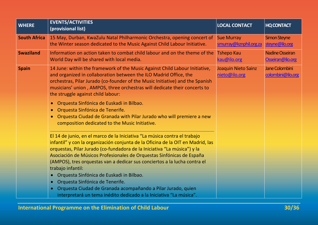| <b>WHERE</b>        | <b>EVENTS/ACTIVITIES</b><br>(provisional list)                                                                                                                                                                                                                                                                                                                                                                      | <b>LOCAL CONTACT</b>                        | <b>HQ CONTACT</b>                          |
|---------------------|---------------------------------------------------------------------------------------------------------------------------------------------------------------------------------------------------------------------------------------------------------------------------------------------------------------------------------------------------------------------------------------------------------------------|---------------------------------------------|--------------------------------------------|
| <b>South Africa</b> | 15 May, Durban, KwaZulu Natal Philharmonic Orchestra, opening concert of<br>the Winter season dedicated to the Music Against Child Labour Initiative.                                                                                                                                                                                                                                                               | <b>Sue Murray</b><br>smurray@kznphil.org.za | <b>Simon Steyne</b><br>steyne@ilo.org      |
| <b>Swaziland</b>    | Information on action taken to combat child labour and on the theme of the<br>World Day will be shared with local media.                                                                                                                                                                                                                                                                                            | <b>Tshepo Kau</b><br>kau@ilo.org            | <b>Nadine Osseiran</b><br>Osseiran@ilo.org |
| <b>Spain</b>        | 14 June: within the framework of the Music Against Child Labour Initiative,<br>and organized in collaboration between the ILO Madrid Office, the<br>orchestras, Pilar Jurado (co-founder of the Music Initiative) and the Spanish<br>musicians' union, AMPOS, three orchestras will dedicate their concerts to<br>the struggle against child labour:                                                                | Joaquin Nieto Sainz<br>nieto@ilo.org        | Jane Colombini<br>colombini@ilo.org        |
|                     | Orquesta Sinfónica de Euskadi in Bilbao.<br>$\bullet$<br>Orquesta Sinfónica de Tenerife.<br>$\bullet$<br>Orquesta Ciudad de Granada with Pilar Jurado who will premiere a new<br>$\bullet$<br>composition dedicated to the Music Initiative.                                                                                                                                                                        |                                             |                                            |
|                     | El 14 de junio, en el marco de la Iniciativa "La música contra el trabajo<br>infantil" y con la organización conjunta de la Oficina de la OIT en Madrid, las<br>orquestas, Pilar Jurado (co-fundadora de la Iniciativa "La música") y la<br>Asociación de Músicos Profesionales de Orquestas Sinfónicas de España<br>(AMPOS), tres orquestas van a dedicar sus conciertos a la lucha contra el<br>trabajo infantil: |                                             |                                            |
|                     | Orquesta Sinfónica de Euskadi in Bilbao.<br>$\bullet$<br>Orquesta Sinfónica de Tenerife.<br>$\bullet$<br>Orquesta Ciudad de Granada acompañando a Pilar Jurado, quien<br>$\bullet$<br>interpretará un tema inédito dedicado a la Iniciativa "La música".                                                                                                                                                            |                                             |                                            |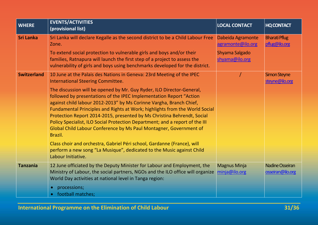| <b>WHERE</b>       | <b>EVENTS/ACTIVITIES</b><br>(provisional list)                                                                                                                                                                                                                                                                                                                                                                                                                                                                                                                                                                            | <b>LOCAL CONTACT</b>                   | <b>HQ CONTACT</b>                     |
|--------------------|---------------------------------------------------------------------------------------------------------------------------------------------------------------------------------------------------------------------------------------------------------------------------------------------------------------------------------------------------------------------------------------------------------------------------------------------------------------------------------------------------------------------------------------------------------------------------------------------------------------------------|----------------------------------------|---------------------------------------|
| <b>Sri Lanka</b>   | Sri Lanka will declare Kegalle as the second district to be a Child Labour Free<br>Zone.                                                                                                                                                                                                                                                                                                                                                                                                                                                                                                                                  | Dabeida Agramonte<br>agramonte@ilo.org | <b>Bharati Pflug</b><br>pflug@ilo.org |
|                    | To extend social protection to vulnerable girls and boys and/or their<br>families, Ratnapura will launch the first step of a project to assess the<br>vulnerability of girls and boys using benchmarks developed for the district.                                                                                                                                                                                                                                                                                                                                                                                        | Shyama Salgado<br>shyama@ilo.org       |                                       |
| <b>Switzerland</b> | 10 June at the Palais des Nations in Geneva: 23rd Meeting of the IPEC<br><b>International Steering Committee.</b>                                                                                                                                                                                                                                                                                                                                                                                                                                                                                                         |                                        | Simon Steyne<br>steyne@ilo.org        |
|                    | The discussion will be opened by Mr. Guy Ryder, ILO Director-General,<br>followed by presentations of the IPEC Implementation Report "Action<br>against child labour 2012-2013" by Ms Corinne Vargha, Branch Chief,<br>Fundamental Principles and Rights at Work; highlights from the World Social<br>Protection Report 2014-2015, presented by Ms Christina Behrendt, Social<br>Policy Specialist, ILO Social Protection Department; and a report of the III<br>Global Child Labour Conference by Ms Paul Montagner, Government of<br>Brazil.<br>Class choir and orchestra, Gabriel Péri school, Gardanne (France), will |                                        |                                       |
|                    | perform a new song "La Musique", dedicated to the Music against Child<br>Labour Initiative.                                                                                                                                                                                                                                                                                                                                                                                                                                                                                                                               |                                        |                                       |
| <b>Tanzania</b>    | 12 June officiated by the Deputy Minister for Labour and Employment, the<br>Ministry of Labour, the social partners, NGOs and the ILO office will organize<br>World Day activities at national level in Tanga region:<br>processions;<br>$\bullet$                                                                                                                                                                                                                                                                                                                                                                        | <b>Magnus Minja</b><br>minja@ilo.org   | Nadine Osseiran<br>osseiran@ilo.org   |
|                    | football matches;                                                                                                                                                                                                                                                                                                                                                                                                                                                                                                                                                                                                         |                                        |                                       |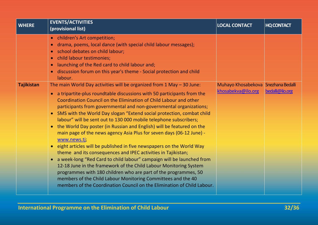| <b>WHERE</b>      | <b>EVENTS/ACTIVITIES</b><br>(provisional list)                                                                                                                                                                                                                                                                                                                                                                                                                                                                                                                                                                                                                                                                                                                                                                                                                                                                                                                                                                                                                                                                                                 | <b>LOCAL CONTACT</b>                                      | <b>HQ CONTACT</b> |
|-------------------|------------------------------------------------------------------------------------------------------------------------------------------------------------------------------------------------------------------------------------------------------------------------------------------------------------------------------------------------------------------------------------------------------------------------------------------------------------------------------------------------------------------------------------------------------------------------------------------------------------------------------------------------------------------------------------------------------------------------------------------------------------------------------------------------------------------------------------------------------------------------------------------------------------------------------------------------------------------------------------------------------------------------------------------------------------------------------------------------------------------------------------------------|-----------------------------------------------------------|-------------------|
|                   | children's Art competition;<br>$\bullet$<br>drama, poems, local dance (with special child labour messages);<br>$\bullet$<br>school debates on child labour;<br>$\bullet$<br>child labour testimonies;<br>$\bullet$<br>launching of the Red card to child labour and;<br>$\bullet$<br>discussion forum on this year's theme - Social protection and child<br>$\bullet$<br>labour.                                                                                                                                                                                                                                                                                                                                                                                                                                                                                                                                                                                                                                                                                                                                                               |                                                           |                   |
| <b>Tajikistan</b> | The main World Day activities will be organized from $1$ May $-$ 30 June:<br>• a tripartite-plus roundtable discussions with 50 participants from the<br>Coordination Council on the Elimination of Child Labour and other<br>participants from governmental and non-governmental organizations;<br>SMS with the World Day slogan "Extend social protection, combat child<br>$\bullet$<br>labour" will be sent out to 130 000 mobile telephone subscribers;<br>the World Day poster (in Russian and English) will be featured on the<br>main page of the news agency Asia Plus for seven days (06-12 June) -<br>www.news.tj;<br>eight articles will be published in five newspapers on the World Way<br>$\bullet$<br>theme and its consequences and IPEC activities in Tajikistan;<br>a week-long "Red Card to child labour" campaign will be launched from<br>12-18 June in the framework of the Child Labour Monitoring System<br>programmes with 180 children who are part of the programmes, 50<br>members of the Child Labour Monitoring Committees and the 40<br>members of the Coordination Council on the Elimination of Child Labour. | Muhayo Khosabekova Snezhana Bedalli<br>khosabekva@ilo.org | bedalli@ilo.org   |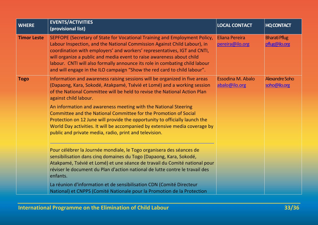| <b>WHERE</b>       | <b>EVENTS/ACTIVITIES</b><br>(provisional list)                                                                                                                                                                                                                                                                                                                                                                                                                         | <b>LOCAL CONTACT</b>                      | <b>HQ CONTACT</b>                     |
|--------------------|------------------------------------------------------------------------------------------------------------------------------------------------------------------------------------------------------------------------------------------------------------------------------------------------------------------------------------------------------------------------------------------------------------------------------------------------------------------------|-------------------------------------------|---------------------------------------|
| <b>Timor Leste</b> | SEPFOPE (Secretary of State for Vocational Training and Employment Policy,<br>Labour Inspection, and the National Commission Against Child Labour), in<br>coordination with employers' and workers' representatives, IGT and CNTI,<br>will organize a public and media event to raise awareness about child<br>labour. CNTI will also formally announce its role in combating child labour<br>and will engage in the ILO campaign "Show the red card to child labour". | <b>Eliana Pereira</b><br>pereira@ilo.org  | <b>Bharati Pflug</b><br>pflug@ilo.org |
| <b>Togo</b>        | Information and awareness raising sessions will be organized in five areas<br>(Dapaong, Kara, Sokodé, Atakpamé, Tsévié et Lomé) and a working session<br>of the National Committee will be held to revise the National Action Plan<br>against child labour.                                                                                                                                                                                                            | <b>Essodina M. Abalo</b><br>abalo@ilo.org | <b>Alexandre Soho</b><br>soho@ilo.org |
|                    | An information and awareness meeting with the National Steering<br>Committee and the National Committee for the Promotion of Social<br>Protection on 12 June will provide the opportunity to officially launch the<br>World Day activities. It will be accompanied by extensive media coverage by<br>public and private media, radio, print and television.                                                                                                            |                                           |                                       |
|                    | Pour célébrer la Journée mondiale, le Togo organisera des séances de<br>sensibilisation dans cinq domaines du Togo (Dapaong, Kara, Sokodé,<br>Atakpamé, Tsévié et Lomé) et une séance de travail du Comité national pour<br>réviser le document du Plan d'action national de lutte contre le travail des<br>enfants.                                                                                                                                                   |                                           |                                       |
|                    | La réunion d'information et de sensibilisation CDN (Comité Directeur<br>National) et CNPPS (Comité Nationale pour la Promotion de la Protection                                                                                                                                                                                                                                                                                                                        |                                           |                                       |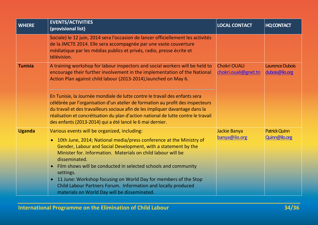| <b>WHERE</b>   | <b>EVENTS/ACTIVITIES</b><br>(provisional list)                                                                                                                                                                                                                                                                                                                                                                                                                                                                                                                                   | <b>LOCAL CONTACT</b>                        | <b>HQ CONTACT</b>                 |
|----------------|----------------------------------------------------------------------------------------------------------------------------------------------------------------------------------------------------------------------------------------------------------------------------------------------------------------------------------------------------------------------------------------------------------------------------------------------------------------------------------------------------------------------------------------------------------------------------------|---------------------------------------------|-----------------------------------|
|                | Sociale) le 12 juin, 2014 sera l'occasion de lancer officiellement les activités<br>de la JMCTE 2014. Elle sera accompagnée par une vaste couverture<br>médiatique par les médias publics et privés, radio, presse écrite et<br>télévision.                                                                                                                                                                                                                                                                                                                                      |                                             |                                   |
| <b>Tunisia</b> | A training workshop for labour inspectors and social workers will be held to<br>encourage their further involvement in the implementation of the National<br>Action Plan against child labour (2013-2014), launched on May 6.                                                                                                                                                                                                                                                                                                                                                    | <b>Chokri OUALI</b><br>chokri.ouali@gnet.tn | Laurence Dubois<br>dubois@ilo.org |
|                | En Tunisie, la Journée mondiale de lutte contre le travail des enfants sera<br>célébrée par l'organisation d'un atelier de formation au profit des inspecteurs<br>du travail et des travailleurs sociaux afin de les impliquer davantage dans la<br>réalisation et concrétisation du plan d'action national de lutte contre le travail<br>des enfants (2013-2014) qui a été lancé le 6 mai dernier.                                                                                                                                                                              |                                             |                                   |
| <b>Uganda</b>  | Various events will be organized, including:<br>10th June, 2014; National media/press conference at the Ministry of<br>$\bullet$<br>Gender, Labour and Social Development, with a statement by the<br>Minister for, Information. Materials on child labour will be<br>disseminated.<br>Film shows will be conducted in selected schools and community<br>$\bullet$<br>settings.<br>11 June: Workshop focusing on World Day for members of the Stop<br>$\bullet$<br>Child Labour Partners Forum. Information and locally produced<br>materials on World Day will be disseminated. | Jackie Banya<br>banya@ilo.org               | Patrick Quinn<br>Quinn@ilo.org    |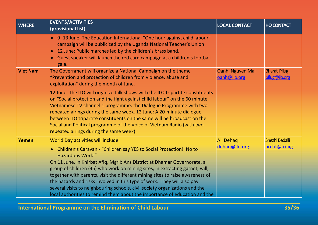| <b>EVENTS/ACTIVITIES</b><br>(provisional list)                                                                                                                                                                                                                                                                                                                                                                                                                                                                                               | <b>LOCAL CONTACT</b>                                                       | <b>HQ CONTACT</b>                     |
|----------------------------------------------------------------------------------------------------------------------------------------------------------------------------------------------------------------------------------------------------------------------------------------------------------------------------------------------------------------------------------------------------------------------------------------------------------------------------------------------------------------------------------------------|----------------------------------------------------------------------------|---------------------------------------|
| • 9-13 June: The Education International "One hour against child labour"<br>campaign will be publicized by the Uganda National Teacher's Union<br>• 12 June: Public marches led by the children's brass band.<br>Guest speaker will launch the red card campaign at a children's football<br>$\bullet$<br>gala.                                                                                                                                                                                                                              |                                                                            |                                       |
| The Government will organize a National Campaign on the theme<br>"Prevention and protection of children from violence, abuse and<br>exploitation" during the month of June.                                                                                                                                                                                                                                                                                                                                                                  | Oanh, Nguyen Mai<br>oanh@ilo.org                                           | <b>Bharati Pflug</b><br>pflug@ilo.org |
| 12 June: The ILO will organize talk shows with the ILO tripartite constituents<br>on "Social protection and the fight against child labour" on the 60 minute<br>Vietnamese TV channel 1 programme: the Dialogue Programme with two<br>repeated airings during the same week. 12 June: A 20-minute dialogue<br>between ILO tripartite constituents on the same will be broadcast on the<br>Social and Political programme of the Voice of Vietnam Radio (with two<br>repeated airings during the same week).                                  |                                                                            |                                       |
| World Day activities will include:<br>• Children's Caravan - "Children say YES to Social Protection! No to<br><b>Hazardous Work!"</b><br>On 11 June, in Khirbat Afiq, Mgrib Ans District at Dhamar Governorate, a<br>group of children (45) who work on mining sites, in extracting garnet, will,<br>together with parents, visit the different mining sites to raise awareness of<br>the hazards and risks involved in this type of work. They will also pay<br>several visits to neighbouring schools, civil society organizations and the | Ali Dehaq<br>dehag@ilo.org                                                 | Snezhi Bedalli<br>bedalli@ilo.org     |
|                                                                                                                                                                                                                                                                                                                                                                                                                                                                                                                                              | local authorities to remind them about the importance of education and the |                                       |